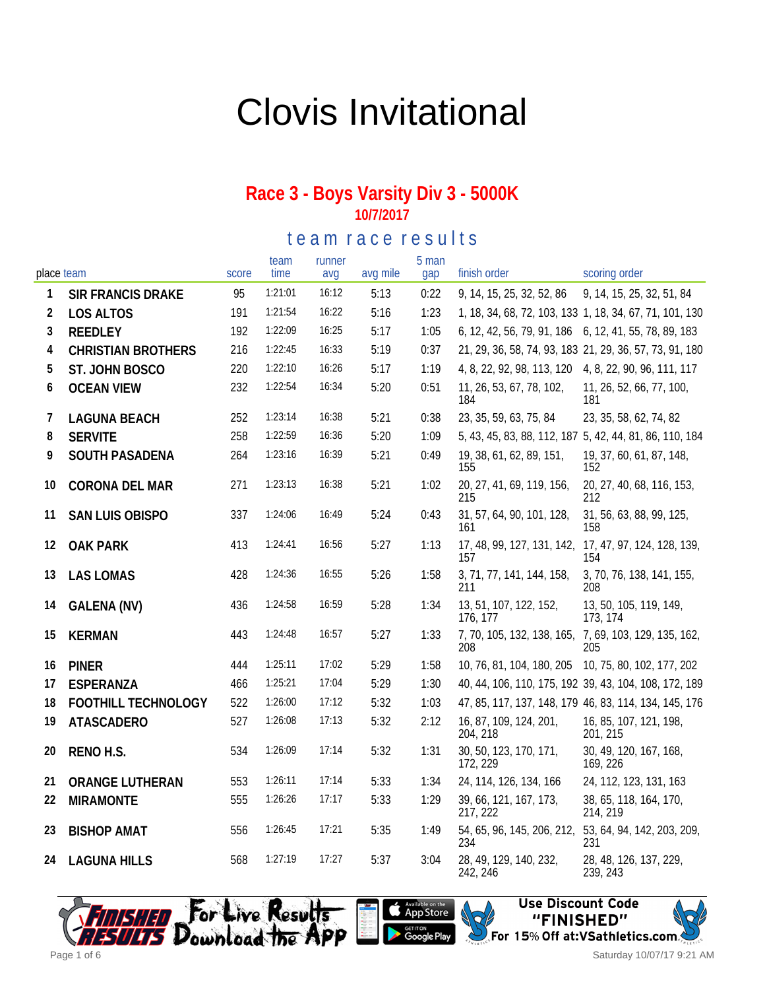# Clovis Invitational

#### **Race 3 - Boys Varsity Div 3 - 5000K 10/7/2017**

te am race results

| place team   |                           | score | team<br>time | runner<br>avg | avg mile | 5 man<br>gap | finish order                                                 | scoring order                                           |
|--------------|---------------------------|-------|--------------|---------------|----------|--------------|--------------------------------------------------------------|---------------------------------------------------------|
| $\mathbf{1}$ | <b>SIR FRANCIS DRAKE</b>  | 95    | 1:21:01      | 16:12         | 5:13     | 0:22         | 9, 14, 15, 25, 32, 52, 86                                    | 9, 14, 15, 25, 32, 51, 84                               |
| 2            | <b>LOS ALTOS</b>          | 191   | 1:21:54      | 16:22         | 5:16     | 1:23         |                                                              | 1, 18, 34, 68, 72, 103, 133 1, 18, 34, 67, 71, 101, 130 |
| 3            | REEDLEY                   | 192   | 1:22:09      | 16:25         | 5:17     | 1:05         | 6, 12, 42, 56, 79, 91, 186 6, 12, 41, 55, 78, 89, 183        |                                                         |
| 4            | <b>CHRISTIAN BROTHERS</b> | 216   | 1:22:45      | 16:33         | 5:19     | 0:37         |                                                              | 21, 29, 36, 58, 74, 93, 183 21, 29, 36, 57, 73, 91, 180 |
| 5            | ST. JOHN BOSCO            | 220   | 1:22:10      | 16:26         | 5:17     | 1:19         | 4, 8, 22, 92, 98, 113, 120 4, 8, 22, 90, 96, 111, 117        |                                                         |
| 6            | <b>OCEAN VIEW</b>         | 232   | 1:22:54      | 16:34         | 5:20     | 0:51         | 11, 26, 53, 67, 78, 102,<br>184                              | 11, 26, 52, 66, 77, 100,<br>181                         |
| 7            | <b>LAGUNA BEACH</b>       | 252   | 1:23:14      | 16:38         | 5:21     | 0:38         | 23, 35, 59, 63, 75, 84                                       | 23, 35, 58, 62, 74, 82                                  |
| 8            | <b>SERVITE</b>            | 258   | 1:22:59      | 16:36         | 5:20     | 1:09         |                                                              | 5, 43, 45, 83, 88, 112, 187 5, 42, 44, 81, 86, 110, 184 |
| 9            | SOUTH PASADENA            | 264   | 1:23:16      | 16:39         | 5:21     | 0:49         | 19, 38, 61, 62, 89, 151,<br>155                              | 19, 37, 60, 61, 87, 148,<br>152                         |
| 10           | CORONA DEL MAR            | 271   | 1:23:13      | 16:38         | 5:21     | 1:02         | 20, 27, 41, 69, 119, 156,<br>215                             | 20, 27, 40, 68, 116, 153,<br>212                        |
| 11           | <b>SAN LUIS OBISPO</b>    | 337   | 1:24:06      | 16:49         | 5:24     | 0:43         | 31, 57, 64, 90, 101, 128,<br>161                             | 31, 56, 63, 88, 99, 125,<br>158                         |
| 12           | <b>OAK PARK</b>           | 413   | 1:24:41      | 16:56         | 5:27     | 1:13         | 17, 48, 99, 127, 131, 142,<br>157                            | 17, 47, 97, 124, 128, 139,<br>154                       |
| 13           | <b>LAS LOMAS</b>          | 428   | 1:24:36      | 16:55         | 5:26     | 1:58         | 3, 71, 77, 141, 144, 158,<br>211                             | 3, 70, 76, 138, 141, 155,<br>208                        |
| 14           | GALENA (NV)               | 436   | 1:24:58      | 16:59         | 5:28     | 1:34         | 13, 51, 107, 122, 152,<br>176, 177                           | 13, 50, 105, 119, 149,<br>173, 174                      |
| 15           | <b>KERMAN</b>             | 443   | 1:24:48      | 16:57         | 5:27     | 1:33         | 7, 70, 105, 132, 138, 165, 7, 69, 103, 129, 135, 162,<br>208 | 205                                                     |
| 16           | <b>PINER</b>              | 444   | 1:25:11      | 17:02         | 5:29     | 1:58         | 10, 76, 81, 104, 180, 205                                    | 10, 75, 80, 102, 177, 202                               |
| 17           | ESPERANZA                 | 466   | 1:25:21      | 17:04         | 5:29     | 1:30         |                                                              | 40, 44, 106, 110, 175, 192 39, 43, 104, 108, 172, 189   |
| 18           | FOOTHILL TECHNOLOGY       | 522   | 1:26:00      | 17:12         | 5:32     | 1:03         |                                                              | 47, 85, 117, 137, 148, 179 46, 83, 114, 134, 145, 176   |
| 19           | <b>ATASCADERO</b>         | 527   | 1:26:08      | 17:13         | 5:32     | 2:12         | 16, 87, 109, 124, 201,<br>204, 218                           | 16, 85, 107, 121, 198,<br>201, 215                      |
| 20           | RENO H.S.                 | 534   | 1:26:09      | 17:14         | 5:32     | 1:31         | 30, 50, 123, 170, 171,<br>172, 229                           | 30, 49, 120, 167, 168,<br>169, 226                      |
| 21           | ORANGE LUTHERAN           | 553   | 1:26:11      | 17:14         | 5:33     | 1:34         | 24, 114, 126, 134, 166                                       | 24, 112, 123, 131, 163                                  |
| 22           | <b>MIRAMONTE</b>          | 555   | 1:26:26      | 17:17         | 5:33     | 1:29         | 39, 66, 121, 167, 173,<br>217, 222                           | 38, 65, 118, 164, 170,<br>214, 219                      |
| 23           | <b>BISHOP AMAT</b>        | 556   | 1:26:45      | 17:21         | 5:35     | 1:49         | 54, 65, 96, 145, 206, 212, 53, 64, 94, 142, 203, 209,<br>234 | 231                                                     |
| 24           | <b>LAGUNA HILLS</b>       | 568   | 1:27:19      | 17:27         | 5:37     | 3:04         | 28, 49, 129, 140, 232,<br>242, 246                           | 28, 48, 126, 137, 229,<br>239, 243                      |





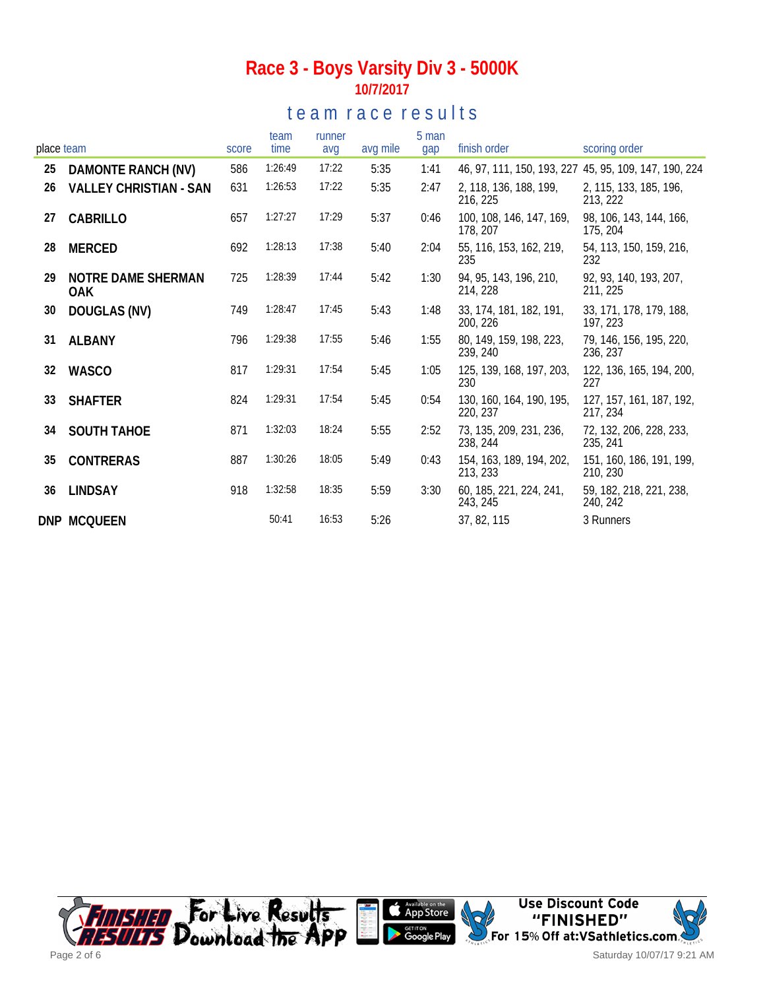## te a m r a c e r e sults

| place team |                               | score | team<br>time | runner<br>avg | avg mile | 5 man<br>gap | finish order                         | scoring order                                         |
|------------|-------------------------------|-------|--------------|---------------|----------|--------------|--------------------------------------|-------------------------------------------------------|
| 25         | DAMONTE RANCH (NV)            | 586   | 1:26:49      | 17:22         | 5:35     | 1:41         |                                      | 46, 97, 111, 150, 193, 227 45, 95, 109, 147, 190, 224 |
| 26         | <b>VALLEY CHRISTIAN - SAN</b> | 631   | 1:26:53      | 17:22         | 5:35     | 2:47         | 2, 118, 136, 188, 199,<br>216, 225   | 2, 115, 133, 185, 196,<br>213, 222                    |
| 27         | CABRILLO                      | 657   | 1:27:27      | 17:29         | 5:37     | 0:46         | 100, 108, 146, 147, 169,<br>178, 207 | 98, 106, 143, 144, 166,<br>175, 204                   |
| 28         | <b>MERCED</b>                 | 692   | 1:28:13      | 17:38         | 5:40     | 2:04         | 55, 116, 153, 162, 219,<br>235       | 54, 113, 150, 159, 216,<br>232                        |
| 29         | NOTRE DAME SHERMAN<br>0AK.    | 725   | 1:28:39      | 17:44         | 5:42     | 1:30         | 94, 95, 143, 196, 210,<br>214, 228   | 92, 93, 140, 193, 207,<br>211, 225                    |
| 30         | DOUGLAS (NV)                  | 749   | 1:28:47      | 17:45         | 5:43     | 1:48         | 33, 174, 181, 182, 191,<br>200, 226  | 33, 171, 178, 179, 188,<br>197, 223                   |
| 31         | <b>ALBANY</b>                 | 796   | 1:29:38      | 17:55         | 5:46     | 1:55         | 80, 149, 159, 198, 223,<br>239, 240  | 79, 146, 156, 195, 220,<br>236, 237                   |
| 32         | <b>WASCO</b>                  | 817   | 1:29:31      | 17:54         | 5:45     | 1:05         | 125, 139, 168, 197, 203,<br>230      | 122, 136, 165, 194, 200,<br>227                       |
| 33         | <b>SHAFTER</b>                | 824   | 1:29:31      | 17:54         | 5:45     | 0:54         | 130, 160, 164, 190, 195,<br>220, 237 | 127, 157, 161, 187, 192,<br>217, 234                  |
| 34         | <b>SOUTH TAHOE</b>            | 871   | 1:32:03      | 18:24         | 5:55     | 2:52         | 73, 135, 209, 231, 236,<br>238, 244  | 72, 132, 206, 228, 233,<br>235, 241                   |
| 35         | <b>CONTRERAS</b>              | 887   | 1:30:26      | 18:05         | 5:49     | 0:43         | 154, 163, 189, 194, 202,<br>213, 233 | 151, 160, 186, 191, 199,<br>210, 230                  |
| 36         | <b>LINDSAY</b>                | 918   | 1:32:58      | 18:35         | 5:59     | 3:30         | 60, 185, 221, 224, 241,<br>243, 245  | 59, 182, 218, 221, 238,<br>240, 242                   |
|            | DNP MCQUEEN                   |       | 50:41        | 16:53         | 5:26     |              | 37, 82, 115                          | 3 Runners                                             |

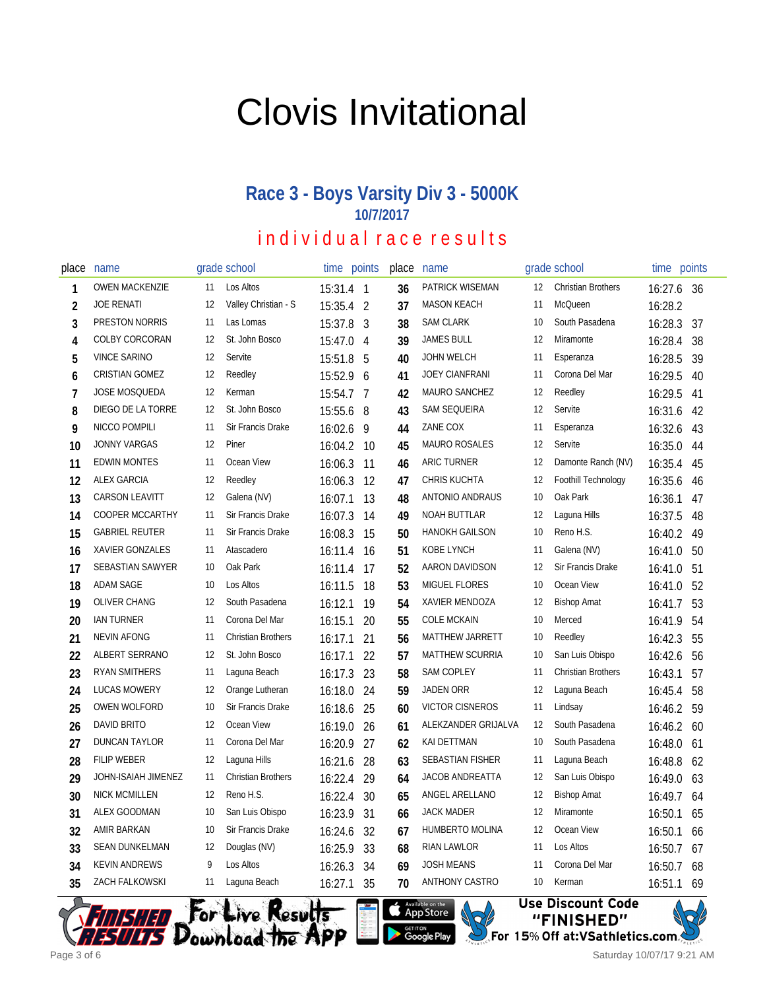# Clovis Invitational

### **Race 3 - Boys Varsity Div 3 - 5000K 10/7/2017**

| place          | name                    |    | grade school              | time      | points         | place | name                    |    | grade school              | time    | points |
|----------------|-------------------------|----|---------------------------|-----------|----------------|-------|-------------------------|----|---------------------------|---------|--------|
| 1              | <b>OWEN MACKENZIE</b>   | 11 | Los Altos                 | 15:31.4 1 |                | 36    | PATRICK WISEMAN         | 12 | <b>Christian Brothers</b> | 16:27.6 | - 36   |
| $\overline{2}$ | <b>JOE RENATI</b>       | 12 | Valley Christian - S      | 15:35.4   | $\overline{2}$ | 37    | <b>MASON KEACH</b>      | 11 | McQueen                   | 16:28.2 |        |
| 3              | PRESTON NORRIS          | 11 | Las Lomas                 | 15:37.8   | $\mathbf{3}$   | 38    | <b>SAM CLARK</b>        | 10 | South Pasadena            | 16:28.3 | 37     |
| 4              | COLBY CORCORAN          | 12 | St. John Bosco            | 15:47.0   | 4              | 39    | <b>JAMES BULL</b>       | 12 | Miramonte                 | 16:28.4 | 38     |
| 5              | <b>VINCE SARINO</b>     | 12 | Servite                   | 15:51.8   | 5              | 40    | <b>JOHN WELCH</b>       | 11 | Esperanza                 | 16:28.5 | 39     |
| 6              | <b>CRISTIAN GOMEZ</b>   | 12 | Reedley                   | 15:52.9   | 6              | 41    | <b>JOEY CIANFRANI</b>   | 11 | Corona Del Mar            | 16:29.5 | 40     |
| $\overline{1}$ | JOSE MOSQUEDA           | 12 | Kerman                    | 15:54.7   | 7              | 42    | <b>MAURO SANCHEZ</b>    | 12 | Reedley                   | 16:29.5 | 41     |
| 8              | DIEGO DE LA TORRE       | 12 | St. John Bosco            | 15:55.6   | 8              | 43    | SAM SEQUEIRA            | 12 | Servite                   | 16:31.6 | 42     |
| 9              | NICCO POMPILI           | 11 | Sir Francis Drake         | 16:02.6   | 9              | 44    | ZANE COX                | 11 | Esperanza                 | 16:32.6 | 43     |
| 10             | <b>JONNY VARGAS</b>     | 12 | Piner                     | 16:04.2   | 10             | 45    | <b>MAURO ROSALES</b>    | 12 | Servite                   | 16:35.0 | 44     |
| 11             | <b>EDWIN MONTES</b>     | 11 | Ocean View                | 16:06.3   | 11             | 46    | <b>ARIC TURNER</b>      | 12 | Damonte Ranch (NV)        | 16:35.4 | 45     |
| 12             | <b>ALEX GARCIA</b>      | 12 | Reedley                   | 16:06.3   | 12             | 47    | <b>CHRIS KUCHTA</b>     | 12 | Foothill Technology       | 16:35.6 | 46     |
| 13             | <b>CARSON LEAVITT</b>   | 12 | Galena (NV)               | 16:07.1   | 13             | 48    | <b>ANTONIO ANDRAUS</b>  | 10 | Oak Park                  | 16:36.1 | 47     |
| 14             | <b>COOPER MCCARTHY</b>  | 11 | Sir Francis Drake         | 16:07.3   | 14             | 49    | <b>NOAH BUTTLAR</b>     | 12 | Laguna Hills              | 16:37.5 | 48     |
| 15             | <b>GABRIEL REUTER</b>   | 11 | Sir Francis Drake         | 16:08.3   | 15             | 50    | <b>HANOKH GAILSON</b>   | 10 | Reno H.S.                 | 16:40.2 | 49     |
| 16             | <b>XAVIER GONZALES</b>  | 11 | Atascadero                | 16:11.4   | 16             | 51    | KOBE LYNCH              | 11 | Galena (NV)               | 16:41.0 | 50     |
| 17             | <b>SEBASTIAN SAWYER</b> | 10 | Oak Park                  | 16:11.4   | 17             | 52    | AARON DAVIDSON          | 12 | Sir Francis Drake         | 16:41.0 | 51     |
| 18             | <b>ADAM SAGE</b>        | 10 | Los Altos                 | 16:11.5   | 18             | 53    | <b>MIGUEL FLORES</b>    | 10 | Ocean View                | 16:41.0 | 52     |
| 19             | <b>OLIVER CHANG</b>     | 12 | South Pasadena            | 16:12.1   | 19             | 54    | XAVIER MENDOZA          | 12 | <b>Bishop Amat</b>        | 16:41.7 | 53     |
| 20             | <b>IAN TURNER</b>       | 11 | Corona Del Mar            | 16:15.1   | 20             | 55    | <b>COLE MCKAIN</b>      | 10 | Merced                    | 16:41.9 | 54     |
| 21             | <b>NEVIN AFONG</b>      | 11 | <b>Christian Brothers</b> | 16:17.1   | 21             | 56    | MATTHEW JARRETT         | 10 | Reedley                   | 16:42.3 | 55     |
| 22             | ALBERT SERRANO          | 12 | St. John Bosco            | 16:17.1   | 22             | 57    | MATTHEW SCURRIA         | 10 | San Luis Obispo           | 16:42.6 | 56     |
| 23             | <b>RYAN SMITHERS</b>    | 11 | Laguna Beach              | 16:17.3   | 23             | 58    | <b>SAM COPLEY</b>       | 11 | <b>Christian Brothers</b> | 16:43.1 | 57     |
| 24             | <b>LUCAS MOWERY</b>     | 12 | Orange Lutheran           | 16:18.0   | 24             | 59    | <b>JADEN ORR</b>        | 12 | Laguna Beach              | 16:45.4 | 58     |
| 25             | OWEN WOLFORD            | 10 | Sir Francis Drake         | 16:18.6   | 25             | 60    | <b>VICTOR CISNEROS</b>  | 11 | Lindsay                   | 16:46.2 | 59     |
| 26             | <b>DAVID BRITO</b>      | 12 | Ocean View                | 16:19.0   | 26             | 61    | ALEKZANDER GRIJALVA     | 12 | South Pasadena            | 16:46.2 | 60     |
| 27             | <b>DUNCAN TAYLOR</b>    | 11 | Corona Del Mar            | 16:20.9   | 27             | 62    | KAI DETTMAN             | 10 | South Pasadena            | 16:48.0 | 61     |
| 28             | <b>FILIP WEBER</b>      | 12 | Laguna Hills              | 16:21.6   | 28             | 63    | <b>SEBASTIAN FISHER</b> | 11 | Laguna Beach              | 16:48.8 | 62     |
| 29             | JOHN-ISAIAH JIMENEZ     | 11 | <b>Christian Brothers</b> | 16:22.4   | 29             | 64    | <b>JACOB ANDREATTA</b>  | 12 | San Luis Obispo           | 16:49.0 | 63     |
| 30             | <b>NICK MCMILLEN</b>    | 12 | Reno H.S.                 | 16:22.4   | 30             | 65    | ANGEL ARELLANO          | 12 | <b>Bishop Amat</b>        | 16:49.7 | 64     |
| 31             | ALEX GOODMAN            | 10 | San Luis Obispo           | 16:23.9   | 31             | 66    | <b>JACK MADER</b>       | 12 | Miramonte                 | 16:50.1 | 65     |
| 32             | AMIR BARKAN             | 10 | Sir Francis Drake         | 16:24.6   | 32             | 67    | HUMBERTO MOLINA         | 12 | Ocean View                | 16:50.1 | 66     |
| 33             | <b>SEAN DUNKELMAN</b>   | 12 | Douglas (NV)              | 16:25.9   | 33             | 68    | RIAN LAWLOR             | 11 | Los Altos                 | 16:50.7 | 67     |
| 34             | <b>KEVIN ANDREWS</b>    | 9  | Los Altos                 | 16:26.3   | 34             | 69    | <b>JOSH MEANS</b>       | 11 | Corona Del Mar            | 16:50.7 | 68     |
| 35             | <b>ZACH FALKOWSKI</b>   | 11 | Laguna Beach              | 16:27.1   | 35             | 70    | <b>ANTHONY CASTRO</b>   | 10 | Kerman                    | 16:51.1 | 69     |





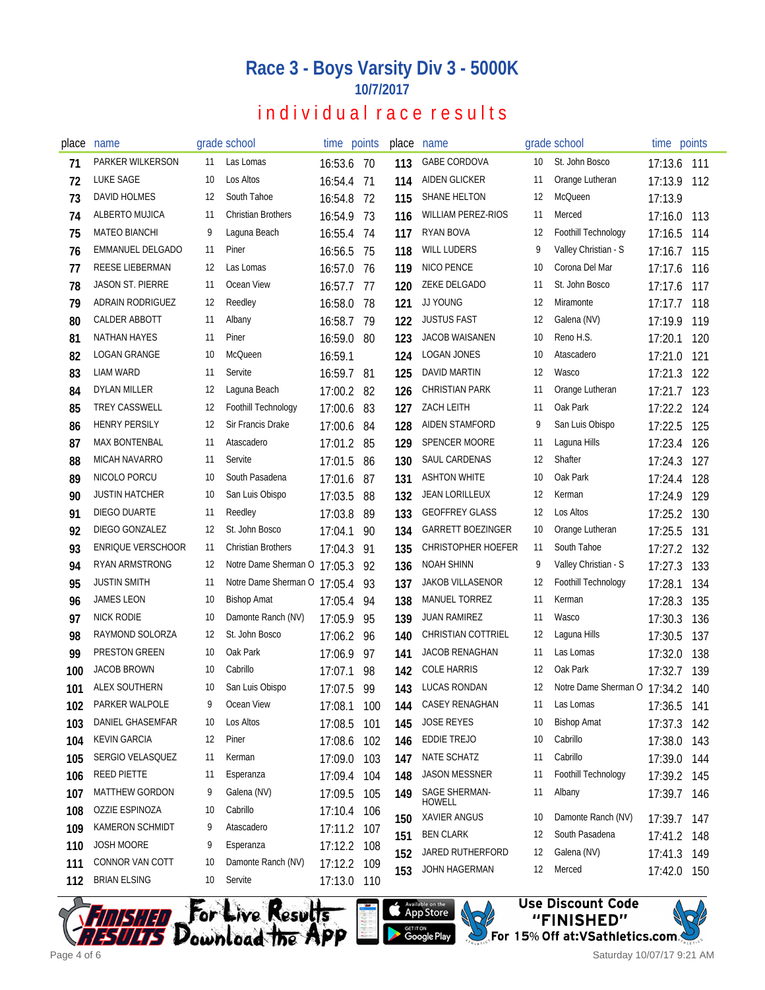| place | name                    |     | grade school              | time points |      | place | name                          |    | grade school         | time points |      |
|-------|-------------------------|-----|---------------------------|-------------|------|-------|-------------------------------|----|----------------------|-------------|------|
| 71    | PARKER WILKERSON        | 11  | Las Lomas                 | 16:53.6     | - 70 | 113   | <b>GABE CORDOVA</b>           | 10 | St. John Bosco       | 17:13.6     | 111  |
| 72    | LUKE SAGE               | 10  | Los Altos                 | 16:54.4 71  |      | 114   | <b>AIDEN GLICKER</b>          | 11 | Orange Lutheran      | 17:13.9     | 112  |
| 73    | DAVID HOLMES            | 12  | South Tahoe               | 16:54.8     | 72   | 115   | SHANE HELTON                  | 12 | McQueen              | 17:13.9     |      |
| 74    | ALBERTO MUJICA          | -11 | <b>Christian Brothers</b> | 16:54.9     | 73   | 116   | <b>WILLIAM PEREZ-RIOS</b>     | 11 | Merced               | 17:16.0     | 113  |
| 75    | <b>MATEO BIANCHI</b>    | 9   | Laguna Beach              | 16:55.4     | -74  | 117   | RYAN BOVA                     | 12 | Foothill Technology  | 17:16.5     | 114  |
| 76    | EMMANUEL DELGADO        | 11  | Piner                     | 16:56.5     | 75   | 118   | <b>WILL LUDERS</b>            | 9  | Valley Christian - S | 17:16.7     | 115  |
| 77    | REESE LIEBERMAN         | 12  | Las Lomas                 | 16:57.0     | - 76 | 119   | NICO PENCE                    | 10 | Corona Del Mar       | 17:17.6     | 116  |
| 78    | <b>JASON ST. PIERRE</b> | 11  | Ocean View                | 16:57.7     | 77   | 120   | ZEKE DELGADO                  | 11 | St. John Bosco       | 17:17.6     | 117  |
| 79    | ADRAIN RODRIGUEZ        | 12  | Reedley                   | 16:58.0     | 78   | 121   | JJ YOUNG                      | 12 | Miramonte            | 17:17.7     | 118  |
| 80    | CALDER ABBOTT           | 11  | Albany                    | 16:58.7     | 79   | 122   | <b>JUSTUS FAST</b>            | 12 | Galena (NV)          | 17:19.9     | 119  |
| 81    | NATHAN HAYES            | 11  | Piner                     | 16:59.0     | 80   | 123   | JACOB WAISANEN                | 10 | Reno H.S.            | 17:20.1     | 120  |
| 82    | LOGAN GRANGE            | 10  | <b>McQueen</b>            | 16:59.1     |      | 124   | LOGAN JONES                   | 10 | Atascadero           | 17:21.0     | 121  |
| 83    | LIAM WARD               | 11  | Servite                   | 16:59.7     | -81  | 125   | DAVID MARTIN                  | 12 | Wasco                | 17:21.3     | 122  |
| 84    | <b>DYLAN MILLER</b>     | 12  | Laguna Beach              | 17:00.2     | 82   | 126   | <b>CHRISTIAN PARK</b>         | 11 | Orange Lutheran      | 17:21.7     | 123  |
| 85    | <b>TREY CASSWELL</b>    | 12  | Foothill Technology       | 17:00.6     | 83   | 127   | <b>ZACH LEITH</b>             | 11 | Oak Park             | 17:22.2     | 124  |
| 86    | <b>HENRY PERSILY</b>    | 12  | Sir Francis Drake         | 17:00.6     | 84   | 128   | AIDEN STAMFORD                | 9  | San Luis Obispo      | 17:22.5     | 125  |
| 87    | <b>MAX BONTENBAL</b>    | 11  | Atascadero                | 17:01.2     | 85   | 129   | <b>SPENCER MOORE</b>          | 11 | Laguna Hills         | 17:23.4     | 126  |
| 88    | <b>MICAH NAVARRO</b>    | 11  | Servite                   | 17:01.5     | 86   | 130   | SAUL CARDENAS                 | 12 | Shafter              | 17:24.3     | 127  |
| 89    | NICOLO PORCU            | 10  | South Pasadena            | 17:01.6     | 87   | 131   | <b>ASHTON WHITE</b>           | 10 | Oak Park             | 17:24.4     | 128  |
| 90    | <b>JUSTIN HATCHER</b>   | 10  | San Luis Obispo           | 17:03.5     | 88   | 132   | <b>JEAN LORILLEUX</b>         | 12 | Kerman               | 17:24.9     | 129  |
| 91    | DIEGO DUARTE            | 11  | Reedley                   | 17:03.8     | 89   | 133   | <b>GEOFFREY GLASS</b>         | 12 | Los Altos            | 17:25.2     | 130  |
| 92    | DIEGO GONZALEZ          | 12  | St. John Bosco            | 17:04.1     | 90   | 134   | <b>GARRETT BOEZINGER</b>      | 10 | Orange Lutheran      | 17:25.5     | 131  |
| 93    | ENRIQUE VERSCHOOR       | 11  | <b>Christian Brothers</b> | 17:04.3     | 91   | 135   | CHRISTOPHER HOEFER            | 11 | South Tahoe          | 17:27.2     | 132  |
| 94    | <b>RYAN ARMSTRONG</b>   | 12  | Notre Dame Sherman O      | 17:05.3     | 92   | 136   | <b>NOAH SHINN</b>             | 9  | Valley Christian - S | 17:27.3     | 133  |
| 95    | <b>JUSTIN SMITH</b>     | 11  | Notre Dame Sherman O      | 17:05.4     | 93   | 137   | <b>JAKOB VILLASENOR</b>       | 12 | Foothill Technology  | 17:28.1     | 134  |
| 96    | JAMES LEON              | 10  | <b>Bishop Amat</b>        | 17:05.4     | 94   | 138   | MANUEL TORREZ                 | 11 | Kerman               | 17:28.3     | 135  |
| 97    | NICK RODIE              | 10  | Damonte Ranch (NV)        | 17:05.9     | 95   | 139   | <b>JUAN RAMIREZ</b>           | 11 | Wasco                | 17:30.3     | 136  |
| 98    | RAYMOND SOLORZA         | 12  | St. John Bosco            | 17:06.2     | 96   | 140   | <b>CHRISTIAN COTTRIEL</b>     | 12 | Laguna Hills         | 17:30.5     | 137  |
| 99    | PRESTON GREEN           | 10  | Oak Park                  | 17:06.9     | 97   | 141   | <b>JACOB RENAGHAN</b>         | 11 | Las Lomas            | 17:32.0     | 138  |
| 100   | <b>JACOB BROWN</b>      | 10  | Cabrillo                  | 17:07.1     | 98   | 142   | <b>COLE HARRIS</b>            | 12 | Oak Park             | 17:32.7     | 139  |
| 101   | ALEX SOUTHERN           | 10  | San Luis Obispo           | 17:07.5     | 99   | 143   | <b>LUCAS RONDAN</b>           | 12 | Notre Dame Sherman O | 17:34.2     | 140  |
| 102   | PARKER WALPOLE          | 9   | Ocean View                | 17:08.1 100 |      | 144   | CASEY RENAGHAN                | 11 | Las Lomas            | 17:36.5 141 |      |
| 103   | <b>DANIEL GHASEMFAR</b> | 10  | Los Altos                 | 17:08.5     | 101  | 145   | <b>JOSE REYES</b>             | 10 | <b>Bishop Amat</b>   | 17:37.3     | 142  |
| 104   | <b>KEVIN GARCIA</b>     | 12  | Piner                     | 17:08.6     | 102  | 146   | EDDIE TREJO                   | 10 | Cabrillo             | 17:38.0     | 143  |
| 105   | SERGIO VELASQUEZ        | 11  | Kerman                    | 17:09.0     | 103  | 147   | NATE SCHATZ                   | 11 | Cabrillo             | 17:39.0     | 144  |
| 106   | REED PIETTE             | 11  | Esperanza                 | 17:09.4     | 104  | 148   | JASON MESSNER                 | 11 | Foothill Technology  | 17:39.2 145 |      |
| 107   | <b>MATTHEW GORDON</b>   | 9   | Galena (NV)               | 17:09.5     | 105  | 149   | SAGE SHERMAN-                 | 11 | Albany               | 17:39.7 146 |      |
| 108   | OZZIE ESPINOZA          | 10  | Cabrillo                  | 17:10.4     | 106  | 150   | <b>HOWELL</b><br>XAVIER ANGUS | 10 | Damonte Ranch (NV)   | 17:39.7     | -147 |
| 109   | KAMERON SCHMIDT         | 9   | Atascadero                | 17:11.2 107 |      | 151   | <b>BEN CLARK</b>              | 12 | South Pasadena       | 17:41.2     | 148  |
| 110   | JOSH MOORE              | 9   | Esperanza                 | 17:12.2 108 |      | 152   | JARED RUTHERFORD              | 12 | Galena (NV)          | 17:41.3     | 149  |
| 111   | CONNOR VAN COTT         | 10  | Damonte Ranch (NV)        | 17:12.2 109 |      | 153   | JOHN HAGERMAN                 | 12 | Merced               |             |      |
| 112   | <b>BRIAN ELSING</b>     | 10  | Servite                   | 17:13.0 110 |      |       |                               |    |                      | 17:42.0 150 |      |





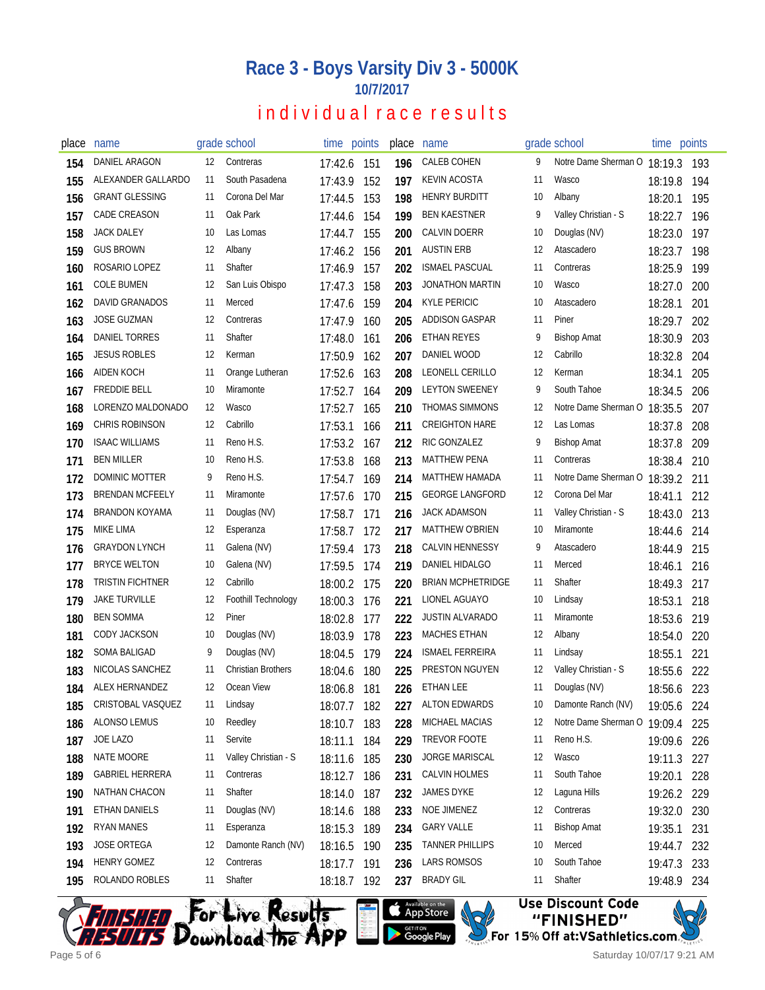| place | name                    |    | grade school              |         | time points | place | name                     |    | grade school         | time        | points |
|-------|-------------------------|----|---------------------------|---------|-------------|-------|--------------------------|----|----------------------|-------------|--------|
| 154   | DANIEL ARAGON           | 12 | Contreras                 | 17:42.6 | 151         | 196   | CALEB COHEN              | 9  | Notre Dame Sherman O | 18:19.3     | 193    |
| 155   | ALEXANDER GALLARDO      | 11 | South Pasadena            | 17:43.9 | 152         | 197   | <b>KEVIN ACOSTA</b>      | 11 | Wasco                | 18:19.8     | 194    |
| 156   | <b>GRANT GLESSING</b>   | 11 | Corona Del Mar            | 17:44.5 | 153         | 198   | <b>HENRY BURDITT</b>     | 10 | Albany               | 18:20.1     | 195    |
| 157   | <b>CADE CREASON</b>     | 11 | Oak Park                  | 17:44.6 | 154         | 199   | <b>BEN KAESTNER</b>      | 9  | Valley Christian - S | 18:22.7     | 196    |
| 158   | <b>JACK DALEY</b>       | 10 | Las Lomas                 | 17:44.7 | 155         | 200   | CALVIN DOERR             | 10 | Douglas (NV)         | 18:23.0     | 197    |
| 159   | <b>GUS BROWN</b>        | 12 | Albany                    | 17:46.2 | 156         | 201   | <b>AUSTIN ERB</b>        | 12 | Atascadero           | 18:23.7     | 198    |
| 160   | ROSARIO LOPEZ           | 11 | Shafter                   | 17:46.9 | 157         | 202   | <b>ISMAEL PASCUAL</b>    | 11 | Contreras            | 18:25.9     | 199    |
| 161   | <b>COLE BUMEN</b>       | 12 | San Luis Obispo           | 17:47.3 | 158         | 203   | JONATHON MARTIN          | 10 | Wasco                | 18:27.0     | 200    |
| 162   | <b>DAVID GRANADOS</b>   | 11 | Merced                    | 17:47.6 | 159         | 204   | <b>KYLE PERICIC</b>      | 10 | Atascadero           | 18:28.1     | 201    |
| 163   | <b>JOSE GUZMAN</b>      | 12 | Contreras                 | 17:47.9 | 160         | 205   | ADDISON GASPAR           | 11 | Piner                | 18:29.7     | 202    |
| 164   | DANIEL TORRES           | 11 | Shafter                   | 17:48.0 | 161         | 206   | <b>ETHAN REYES</b>       | 9  | <b>Bishop Amat</b>   | 18:30.9     | 203    |
| 165   | <b>JESUS ROBLES</b>     | 12 | Kerman                    | 17:50.9 | 162         | 207   | DANIEL WOOD              | 12 | Cabrillo             | 18:32.8     | 204    |
| 166   | AIDEN KOCH              | 11 | Orange Lutheran           | 17:52.6 | 163         | 208   | LEONELL CERILLO          | 12 | Kerman               | 18:34.1     | 205    |
| 167   | <b>FREDDIE BELL</b>     | 10 | Miramonte                 | 17:52.7 | 164         | 209   | <b>LEYTON SWEENEY</b>    | 9  | South Tahoe          | 18:34.5     | 206    |
| 168   | LORENZO MALDONADO       | 12 | Wasco                     | 17:52.7 | 165         | 210   | THOMAS SIMMONS           | 12 | Notre Dame Sherman O | 18:35.5     | 207    |
| 169   | <b>CHRIS ROBINSON</b>   | 12 | Cabrillo                  | 17:53.1 | 166         | 211   | <b>CREIGHTON HARE</b>    | 12 | Las Lomas            | 18:37.8     | 208    |
| 170   | <b>ISAAC WILLIAMS</b>   | 11 | Reno H.S.                 | 17:53.2 | 167         | 212   | RIC GONZALEZ             | 9  | <b>Bishop Amat</b>   | 18:37.8     | 209    |
| 171   | <b>BEN MILLER</b>       | 10 | Reno H.S.                 | 17:53.8 | 168         | 213   | <b>MATTHEW PENA</b>      | 11 | Contreras            | 18:38.4     | 210    |
| 172   | DOMINIC MOTTER          | 9  | Reno H.S.                 | 17:54.7 | 169         | 214   | MATTHEW HAMADA           | 11 | Notre Dame Sherman O | 18:39.2     | 211    |
| 173   | <b>BRENDAN MCFEELY</b>  | 11 | Miramonte                 | 17:57.6 | 170         | 215   | <b>GEORGE LANGFORD</b>   | 12 | Corona Del Mar       | 18:41.1     | 212    |
| 174   | <b>BRANDON KOYAMA</b>   | 11 | Douglas (NV)              | 17:58.7 | 171         | 216   | JACK ADAMSON             | 11 | Valley Christian - S | 18:43.0     | 213    |
| 175   | MIKE LIMA               | 12 | Esperanza                 | 17:58.7 | 172         | 217   | <b>MATTHEW O'BRIEN</b>   | 10 | Miramonte            | 18:44.6     | 214    |
| 176   | <b>GRAYDON LYNCH</b>    | 11 | Galena (NV)               | 17:59.4 | 173         | 218   | <b>CALVIN HENNESSY</b>   | 9  | Atascadero           | 18:44.9     | 215    |
| 177   | <b>BRYCE WELTON</b>     | 10 | Galena (NV)               | 17:59.5 | 174         | 219   | DANIEL HIDALGO           | 11 | Merced               | 18:46.1     | 216    |
| 178   | <b>TRISTIN FICHTNER</b> | 12 | Cabrillo                  | 18:00.2 | 175         | 220   | <b>BRIAN MCPHETRIDGE</b> | 11 | Shafter              | 18:49.3     | 217    |
| 179   | <b>JAKE TURVILLE</b>    | 12 | Foothill Technology       | 18:00.3 | 176         | 221   | LIONEL AGUAYO            | 10 | Lindsay              | 18:53.1     | 218    |
| 180   | <b>BEN SOMMA</b>        | 12 | Piner                     | 18:02.8 | 177         | 222   | <b>JUSTIN ALVARADO</b>   | 11 | Miramonte            | 18:53.6     | 219    |
| 181   | CODY JACKSON            | 10 | Douglas (NV)              | 18:03.9 | 178         | 223   | <b>MACHES ETHAN</b>      | 12 | Albany               | 18:54.0     | 220    |
| 182   | SOMA BALIGAD            | 9  | Douglas (NV)              | 18:04.5 | 179         | 224   | <b>ISMAEL FERREIRA</b>   | 11 | Lindsay              | 18:55.1     | 221    |
| 183   | NICOLAS SANCHEZ         | 11 | <b>Christian Brothers</b> | 18:04.6 | 180         | 225   | PRESTON NGUYEN           | 12 | Valley Christian - S | 18:55.6     | 222    |
| 184   | ALEX HERNANDEZ          | 12 | Ocean View                | 18:06.8 | 181         | 226   | ETHAN LEE                | 11 | Douglas (NV)         | 18:56.6 223 |        |
| 185   | CRISTOBAL VASQUEZ       | 11 | Lindsay                   | 18:07.7 | 182         | 227   | <b>ALTON EDWARDS</b>     | 10 | Damonte Ranch (NV)   | 19:05.6     | -224   |
| 186   | ALONSO LEMUS            | 10 | Reedley                   | 18:10.7 | 183         | 228   | MICHAEL MACIAS           | 12 | Notre Dame Sherman O | 19:09.4     | 225    |
| 187   | JOE LAZO                | 11 | Servite                   | 18:11.1 | 184         | 229   | TREVOR FOOTE             | 11 | Reno H.S.            | 19:09.6     | 226    |
| 188   | NATE MOORE              | 11 | Valley Christian - S      | 18:11.6 | 185         | 230   | JORGE MARISCAL           | 12 | Wasco                | 19:11.3     | 227    |
| 189   | <b>GABRIEL HERRERA</b>  | 11 | Contreras                 | 18:12.7 | 186         | 231   | <b>CALVIN HOLMES</b>     | 11 | South Tahoe          | 19:20.1     | 228    |
| 190   | NATHAN CHACON           | 11 | Shafter                   | 18:14.0 | 187         | 232   | JAMES DYKE               | 12 | Laguna Hills         | 19:26.2 229 |        |
| 191   | ETHAN DANIELS           | 11 | Douglas (NV)              | 18:14.6 | 188         | 233   | NOE JIMENEZ              | 12 | Contreras            | 19:32.0     | 230    |
| 192   | <b>RYAN MANES</b>       | 11 | Esperanza                 | 18:15.3 | 189         | 234   | <b>GARY VALLE</b>        | 11 | <b>Bishop Amat</b>   | 19:35.1     | 231    |
| 193   | <b>JOSE ORTEGA</b>      | 12 | Damonte Ranch (NV)        | 18:16.5 | 190         | 235   | TANNER PHILLIPS          | 10 | Merced               | 19:44.7     | 232    |
| 194   | <b>HENRY GOMEZ</b>      | 12 | Contreras                 | 18:17.7 | 191         | 236   | LARS ROMSOS              | 10 | South Tahoe          | 19:47.3     | 233    |
| 195   | ROLANDO ROBLES          | 11 | Shafter                   |         | 18:18.7 192 | 237   | <b>BRADY GIL</b>         | 11 | Shafter              | 19:48.9 234 |        |